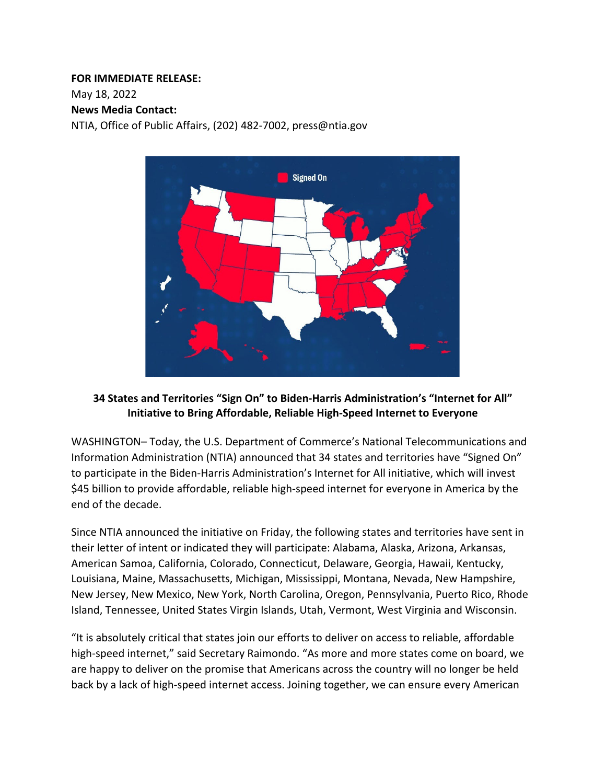# **FOR IMMEDIATE RELEASE:**

May 18, 2022 

# **News Media Contact:**

NTIA, Office of Public Affairs, (202) 482-7002, press@ntia.gov    



# **34 States and Territories "Sign On" to Biden-Harris Administration's "Internet for All" Initiative to Bring Affordable, Reliable High-Speed Internet to Everyone**

WASHINGTON– Today, the U.S. Department of Commerce's National Telecommunications and Information Administration (NTIA) announced that 34 states and territories have "Signed On" to participate in the Biden-Harris Administration's Internet for All initiative, which will invest \$45 billion to provide affordable, reliable high-speed internet for everyone in America by the end of the decade.

Since NTIA announced the initiative on Friday, the following states and territories have sent in their letter of intent or indicated they will participate: Alabama, Alaska, Arizona, Arkansas, American Samoa, California, Colorado, Connecticut, Delaware, Georgia, Hawaii, Kentucky, Louisiana, Maine, Massachusetts, Michigan, Mississippi, Montana, Nevada, New Hampshire, New Jersey, New Mexico, New York, North Carolina, Oregon, Pennsylvania, Puerto Rico, Rhode Island, Tennessee, United States Virgin Islands, Utah, Vermont, West Virginia and Wisconsin.

"It is absolutely critical that states join our efforts to deliver on access to reliable, affordable high-speed internet," said Secretary Raimondo. "As more and more states come on board, we are happy to deliver on the promise that Americans across the country will no longer be held back by a lack of high-speed internet access. Joining together, we can ensure every American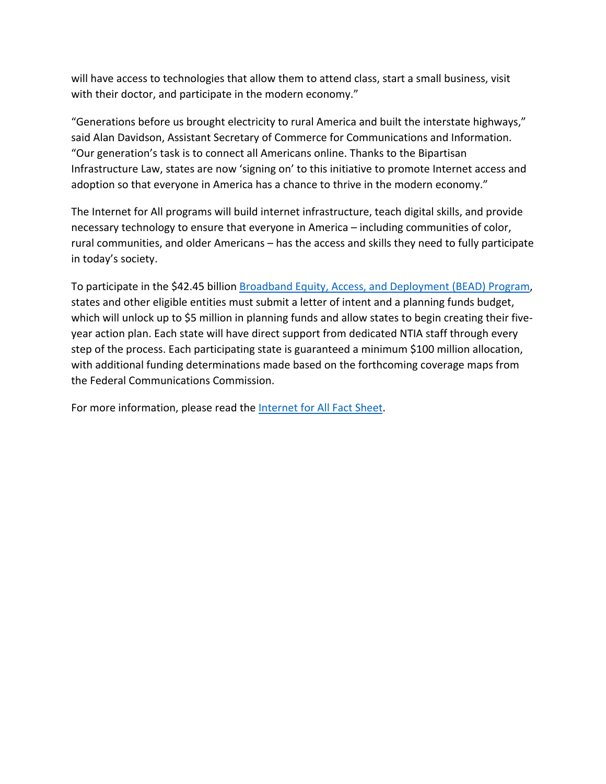will have access to technologies that allow them to attend class, start a small business, visit with their doctor, and participate in the modern economy."

"Generations before us brought electricity to rural America and built the interstate highways," said Alan Davidson, Assistant Secretary of Commerce for Communications and Information. "Our generation's task is to connect all Americans online. Thanks to the Bipartisan Infrastructure Law, states are now 'signing on' to this initiative to promote Internet access and adoption so that everyone in America has a chance to thrive in the modern economy."

The Internet for All programs will build internet infrastructure, teach digital skills, and provide necessary technology to ensure that everyone in America – including communities of color, rural communities, and older Americans – has the access and skills they need to fully participate in today's society.

To participate in the \$42.45 billion [Broadband Equity, Access, and Deployment \(BEAD\) Program](https://www.internetforall.gov/program/broadband-equity-access-and-deployment-bead-program), states and other eligible entities must submit a letter of intent and a planning funds budget, which will unlock up to \$5 million in planning funds and allow states to begin creating their fiveyear action plan. Each state will have direct support from dedicated NTIA staff through every step of the process. Each participating state is guaranteed a minimum \$100 million allocation, with additional funding determinations made based on the forthcoming coverage maps from the Federal Communications Commission.

For more information, please read the [Internet for All Fact Sheet.](https://ntia.gov/other-publication/2022/fact-sheet-biden-harris-administration-s-internet-all-initiative-bringing)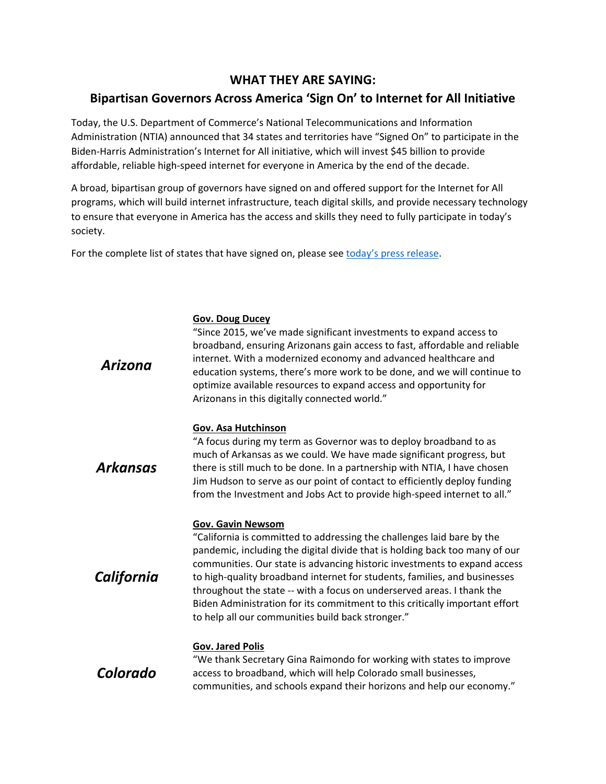# **WHAT THEY ARE SAYING: Bipartisan Governors Across America 'Sign On' to Internet for All Initiative**

Today, the U.S. Department of Commerce's National Telecommunications and Information Administration (NTIA) announced that 34 states and territories have "Signed On" to participate in the Biden-Harris Administration's Internet for All initiative, which will invest \$45 billion to provide affordable, reliable high-speed internet for everyone in America by the end of the decade.

A broad, bipartisan group of governors have signed on and offered support for the Internet for All programs, which will build internet infrastructure, teach digital skills, and provide necessary technology to ensure that everyone in America has the access and skills they need to fully participate in today's society.

For the complete list of states that have signed on, please see [today's press rel](https://ntia.gov/press-release/2022/34-states-and-territories-sign-biden-harris-administration-s-internet-all)ease.

| Arizona         | "Since 2015, we've made significant investments to expand access to<br>broadband, ensuring Arizonans gain access to fast, affordable and reliable<br>internet. With a modernized economy and advanced healthcare and<br>education systems, there's more work to be done, and we will continue to<br>optimize available resources to expand access and opportunity for<br>Arizonans in this digitally connected world."                                                                                                                                    |
|-----------------|-----------------------------------------------------------------------------------------------------------------------------------------------------------------------------------------------------------------------------------------------------------------------------------------------------------------------------------------------------------------------------------------------------------------------------------------------------------------------------------------------------------------------------------------------------------|
| <b>Arkansas</b> | Gov. Asa Hutchinson<br>"A focus during my term as Governor was to deploy broadband to as<br>much of Arkansas as we could. We have made significant progress, but<br>there is still much to be done. In a partnership with NTIA, I have chosen<br>Jim Hudson to serve as our point of contact to efficiently deploy funding<br>from the Investment and Jobs Act to provide high-speed internet to all."                                                                                                                                                    |
| California      | <b>Gov. Gavin Newsom</b><br>"California is committed to addressing the challenges laid bare by the<br>pandemic, including the digital divide that is holding back too many of our<br>communities. Our state is advancing historic investments to expand access<br>to high-quality broadband internet for students, families, and businesses<br>throughout the state -- with a focus on underserved areas. I thank the<br>Biden Administration for its commitment to this critically important effort<br>to help all our communities build back stronger." |
| Colorado        | Gov. Jared Polis<br>"We thank Secretary Gina Raimondo for working with states to improve<br>access to broadband, which will help Colorado small businesses,<br>communities, and schools expand their horizons and help our economy."                                                                                                                                                                                                                                                                                                                      |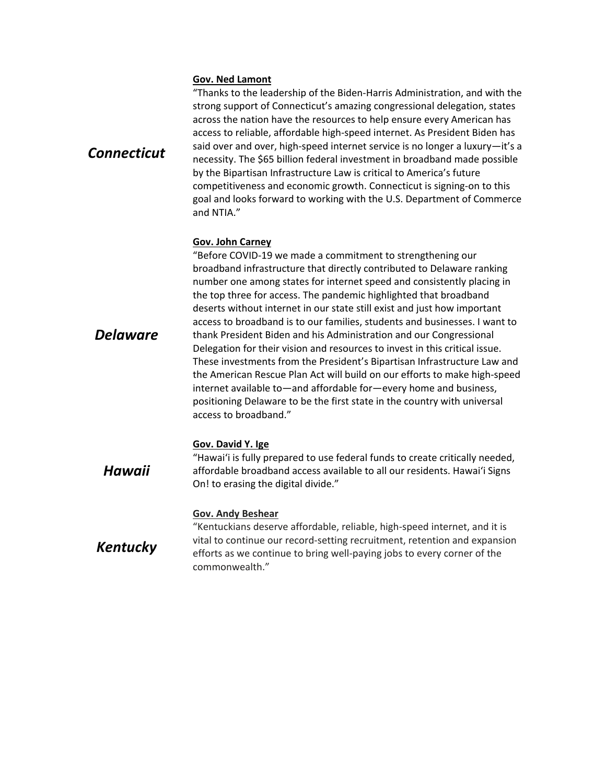### **Gov. Ned Lamont**

*Connecticut*

"Thanks to the leadership of the Biden-Harris Administration, and with the strong support of Connecticut's amazing congressional delegation, states across the nation have the resources to help ensure every American has access to reliable, affordable high-speed internet. As President Biden has said over and over, high-speed internet service is no longer a luxury—it's a necessity. The \$65 billion federal investment in broadband made possible by the Bipartisan Infrastructure Law is critical to America's future competitiveness and economic growth. Connecticut is signing-on to this goal and looks forward to working with the U.S. Department of Commerce and NTIA."

# **Gov. John Carney**

*Delaware*  "Before COVID-19 we made a commitment to strengthening our broadband infrastructure that directly contributed to Delaware ranking number one among states for internet speed and consistently placing in the top three for access. The pandemic highlighted that broadband deserts without internet in our state still exist and just how important access to broadband is to our families, students and businesses. I want to thank President Biden and his Administration and our Congressional Delegation for their vision and resources to invest in this critical issue. These investments from the President's Bipartisan Infrastructure Law and the American Rescue Plan Act will build on our efforts to make high-speed internet available to—and affordable for—every home and business, positioning Delaware to be the first state in the country with universal access to broadband."

#### **Gov. David Y. Ige**

*Hawaii*  "Hawaiʻi is fully prepared to use federal funds to create critically needed, affordable broadband access available to all our residents. Hawaiʻi Signs On! to erasing the digital divide."

#### **Gov. Andy Beshear**

*Kentucky* "Kentuckians deserve affordable, reliable, high-speed internet, and it is vital to continue our record-setting recruitment, retention and expansion efforts as we continue to bring well-paying jobs to every corner of the commonwealth."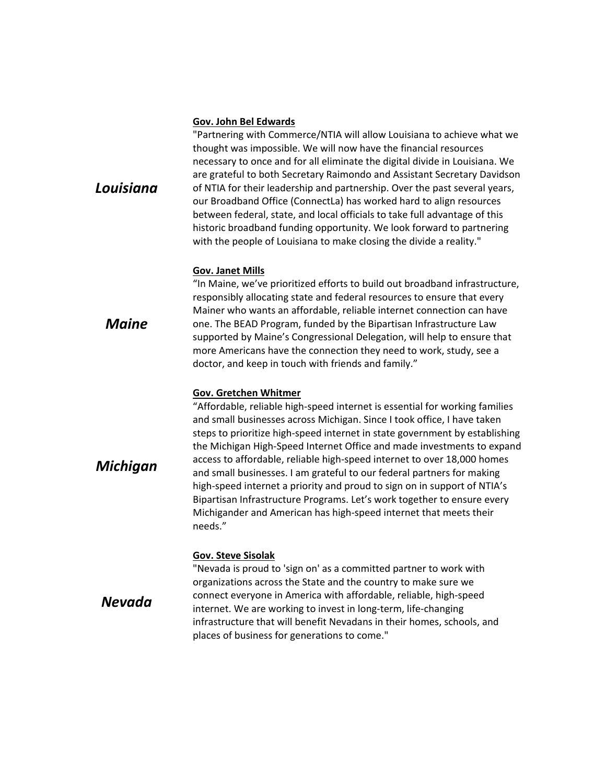#### **Gov. John Bel Edwards**

"Partnering with Commerce/NTIA will allow Louisiana to achieve what we thought was impossible. We will now have the financial resources necessary to once and for all eliminate the digital divide in Louisiana. We are grateful to both Secretary Raimondo and Assistant Secretary Davidson of NTIA for their leadership and partnership. Over the past several years, our Broadband Office (ConnectLa) has worked hard to align resources between federal, state, and local officials to take full advantage of this historic broadband funding opportunity. We look forward to partnering with the people of Louisiana to make closing the divide a reality."

#### **Gov. Janet Mills**

"In Maine, we've prioritized efforts to build out broadband infrastructure, responsibly allocating state and federal resources to ensure that every Mainer who wants an affordable, reliable internet connection can have one. The BEAD Program, funded by the Bipartisan Infrastructure Law supported by Maine's Congressional Delegation, will help to ensure that more Americans have the connection they need to work, study, see a doctor, and keep in touch with friends and family."

#### **Gov. Gretchen Whitmer**

"Affordable, reliable high-speed internet is essential for working families and small businesses across Michigan. Since I took office, I have taken steps to prioritize high-speed internet in state government by establishing the Michigan High-Speed Internet Office and made investments to expand access to affordable, reliable high-speed internet to over 18,000 homes and small businesses. I am grateful to our federal partners for making high-speed internet a priority and proud to sign on in support of NTIA's Bipartisan Infrastructure Programs. Let's work together to ensure every Michigander and American has high-speed internet that meets their needs."

#### **Gov. Steve Sisolak**

*Nevada*

"Nevada is proud to 'sign on' as a committed partner to work with organizations across the State and the country to make sure we connect everyone in America with affordable, reliable, high-speed internet. We are working to invest in long-term, life-changing infrastructure that will benefit Nevadans in their homes, schools, and places of business for generations to come."

*Maine*

*Michigan*

*Louisiana*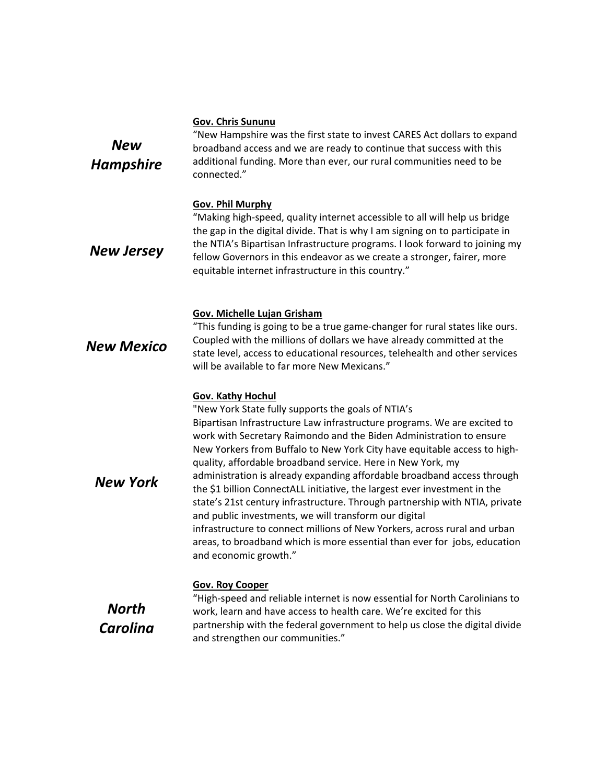# **Gov. Chris Sununu**

| <b>New</b><br><b>Hampshire</b> | "New Hampshire was the first state to invest CARES Act dollars to expand<br>broadband access and we are ready to continue that success with this<br>additional funding. More than ever, our rural communities need to be<br>connected."                                                                                                                                                                                                                                                                                                                                                                                                                                                                                                                                                                                                                         |
|--------------------------------|-----------------------------------------------------------------------------------------------------------------------------------------------------------------------------------------------------------------------------------------------------------------------------------------------------------------------------------------------------------------------------------------------------------------------------------------------------------------------------------------------------------------------------------------------------------------------------------------------------------------------------------------------------------------------------------------------------------------------------------------------------------------------------------------------------------------------------------------------------------------|
| <b>New Jersey</b>              | <b>Gov. Phil Murphy</b><br>"Making high-speed, quality internet accessible to all will help us bridge<br>the gap in the digital divide. That is why I am signing on to participate in<br>the NTIA's Bipartisan Infrastructure programs. I look forward to joining my<br>fellow Governors in this endeavor as we create a stronger, fairer, more<br>equitable internet infrastructure in this country."                                                                                                                                                                                                                                                                                                                                                                                                                                                          |
| <b>New Mexico</b>              | <b>Gov. Michelle Lujan Grisham</b><br>"This funding is going to be a true game-changer for rural states like ours.<br>Coupled with the millions of dollars we have already committed at the<br>state level, access to educational resources, telehealth and other services<br>will be available to far more New Mexicans."                                                                                                                                                                                                                                                                                                                                                                                                                                                                                                                                      |
| <b>New York</b>                | <b>Gov. Kathy Hochul</b><br>"New York State fully supports the goals of NTIA's<br>Bipartisan Infrastructure Law infrastructure programs. We are excited to<br>work with Secretary Raimondo and the Biden Administration to ensure<br>New Yorkers from Buffalo to New York City have equitable access to high-<br>quality, affordable broadband service. Here in New York, my<br>administration is already expanding affordable broadband access through<br>the \$1 billion ConnectALL initiative, the largest ever investment in the<br>state's 21st century infrastructure. Through partnership with NTIA, private<br>and public investments, we will transform our digital<br>infrastructure to connect millions of New Yorkers, across rural and urban<br>areas, to broadband which is more essential than ever for jobs, education<br>and economic growth." |
| North<br>Carolina              | <b>Gov. Roy Cooper</b><br>"High-speed and reliable internet is now essential for North Carolinians to<br>work, learn and have access to health care. We're excited for this<br>partnership with the federal government to help us close the digital divide<br>and strengthen our communities."                                                                                                                                                                                                                                                                                                                                                                                                                                                                                                                                                                  |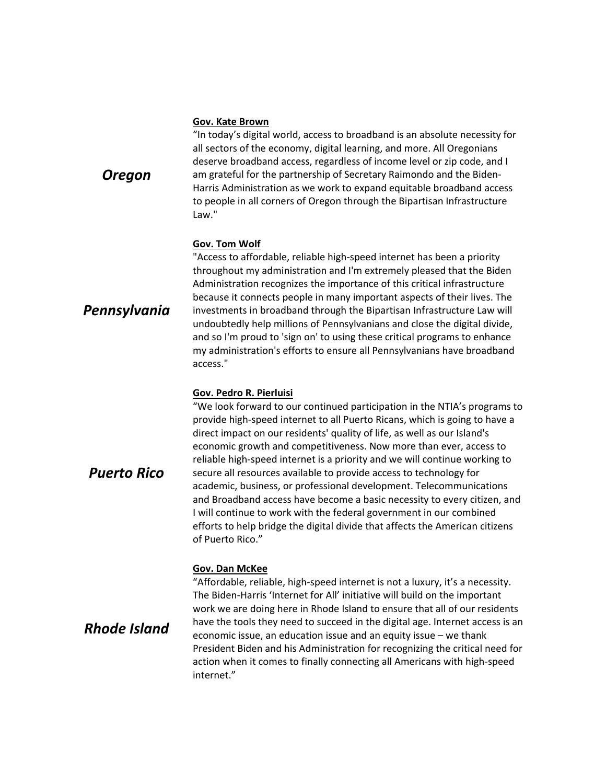#### **Gov. Kate Brown**

"In today's digital world, access to broadband is an absolute necessity for all sectors of the economy, digital learning, and more. All Oregonians deserve broadband access, regardless of income level or zip code, and I am grateful for the partnership of Secretary Raimondo and the Biden-Harris Administration as we work to expand equitable broadband access to people in all corners of Oregon through the Bipartisan Infrastructure Law."

#### **Gov. Tom Wolf**

"Access to affordable, reliable high-speed internet has been a priority throughout my administration and I'm extremely pleased that the Biden Administration recognizes the importance of this critical infrastructure because it connects people in many important aspects of their lives. The investments in broadband through the Bipartisan Infrastructure Law will undoubtedly help millions of Pennsylvanians and close the digital divide, and so I'm proud to 'sign on' to using these critical programs to enhance my administration's efforts to ensure all Pennsylvanians have broadband access."

# **Gov. Pedro R. Pierluisi**

"We look forward to our continued participation in the NTIA's programs to provide high-speed internet to all Puerto Ricans, which is going to have a direct impact on our residents' quality of life, as well as our Island's economic growth and competitiveness. Now more than ever, access to reliable high-speed internet is a priority and we will continue working to secure all resources available to provide access to technology for academic, business, or professional development. Telecommunications and Broadband access have become a basic necessity to every citizen, and I will continue to work with the federal government in our combined efforts to help bridge the digital divide that affects the American citizens of Puerto Rico."

# **Gov. Dan McKee**

"Affordable, reliable, high-speed internet is not a luxury, it's a necessity. The Biden-Harris 'Internet for All' initiative will build on the important work we are doing here in Rhode Island to ensure that all of our residents have the tools they need to succeed in the digital age. Internet access is an economic issue, an education issue and an equity issue – we thank President Biden and his Administration for recognizing the critical need for action when it comes to finally connecting all Americans with high-speed internet."

*Puerto Rico*

*Rhode Island*

*Oregon*

*Pennsylvania*